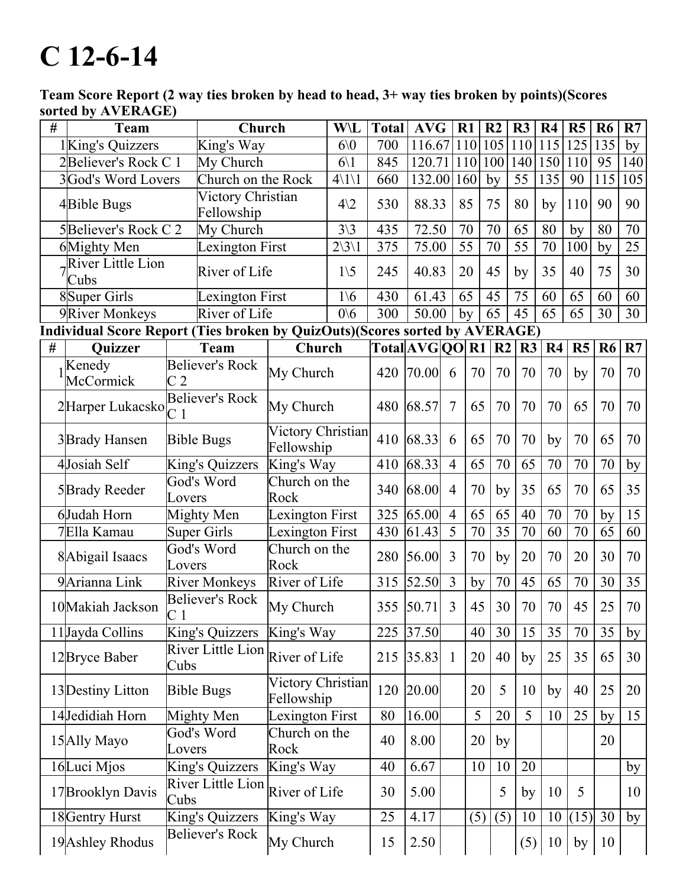## $C$  12-6-14

Team Score Report (2 way ties broken by head to head, 3+ way ties broken by points)(Scores sorted by AVERAGE)

| # | <b>Team</b>                          |                                            | Church                          |                                 | W\L                       | <b>Total</b>                                                                | <b>AVG</b>      | $R1$           |     | R <sub>2</sub>  | R <sub>3</sub> | R <sub>4</sub> | R <sub>5</sub> | R <sub>6</sub>      | R7              |
|---|--------------------------------------|--------------------------------------------|---------------------------------|---------------------------------|---------------------------|-----------------------------------------------------------------------------|-----------------|----------------|-----|-----------------|----------------|----------------|----------------|---------------------|-----------------|
|   | 1King's Quizzers                     |                                            | King's Way                      |                                 | 60 <sub>0</sub>           | 700                                                                         | 116.67          |                | 110 | 105             | 110            | 115            | 125            | 135                 | by              |
|   | 2Believer's Rock C 1                 |                                            | My Church                       |                                 | $6\backslash1$            | 845                                                                         | 120.71          | <sup>110</sup> |     | 100             | 140            | 150            | 110            | 95                  | 140             |
|   | 3God's Word Lovers                   |                                            | Church on the Rock              |                                 | $4\backslash1\backslash1$ | 660                                                                         | 132.00          | 160            |     | by              | 55             | 135            | 90             | 115                 | 105             |
|   | 4Bible Bugs                          |                                            | Victory Christian<br>Fellowship |                                 | $4\sqrt{2}$               | 530                                                                         | 88.33           | 85             |     | 75              | 80             | by             | 110            | 90                  | 90              |
|   | 5Believer's Rock C 2                 |                                            | My Church                       |                                 | $3\sqrt{3}$               | 435                                                                         | 72.50           | 70             |     | 70              | 65             | 80             | by             | 80                  | 70              |
|   | 6Mighty Men                          |                                            | <b>Lexington First</b>          |                                 | $2\frac{3}{1}$            | 375                                                                         | 75.00           | 55             |     | 70              | 55             | 70             | 100            | by                  | $\overline{25}$ |
|   | <b>River Little Lion</b><br>Cubs     |                                            | River of Life                   |                                 | $1\backslash 5$           | 245                                                                         | 40.83           | 20             |     | 45              | by             | 35             | 40             | 75                  | 30              |
|   | 8Super Girls                         |                                            | Lexington First                 |                                 | $1\backslash 6$           | 430                                                                         | 61.43           | 65             |     | 45              | 75             | 60             | 65             | 60                  | $\overline{60}$ |
|   | 9River Monkeys                       |                                            | River of Life                   |                                 | 0/6                       | 300                                                                         | 50.00           | by             |     | 65              | 45             | 65             | 65             | 30                  | 30              |
|   |                                      |                                            |                                 |                                 |                           | Individual Score Report (Ties broken by QuizOuts)(Scores sorted by AVERAGE) |                 |                |     |                 |                |                |                |                     |                 |
| # | <b>Quizzer</b>                       |                                            | <b>Team</b>                     | Church                          |                           |                                                                             | Total AVG QO R1 |                |     | R <sub>2</sub>  | R3             | R4             | R5             | R <sub>6</sub>      | R7              |
|   | Kenedy<br>McCormick                  | C <sub>2</sub>                             | <b>Believer's Rock</b>          | My Church                       |                           | 420                                                                         | 70.00           | 6              | 70  | 70              | 70             | 70             | by             | 70                  | 70              |
|   | $2$ Harper Lukacsko $\overline{C}$ 1 | <b>Believer's Rock</b>                     |                                 | My Church                       |                           |                                                                             | 68.57           | $\overline{7}$ | 65  | 70              | 70             | 70             | 65             | 70                  | 70              |
|   | 3Brady Hansen                        | <b>Bible Bugs</b>                          |                                 | Victory Christian<br>Fellowship |                           | 410                                                                         | 68.33           | 6              | 65  | 70              | 70             | by             | 70             | 65                  | 70              |
|   | 4Josiah Self                         |                                            | King's Quizzers                 | King's Way                      |                           | 410                                                                         | 68.33           | $\overline{4}$ | 65  | $\overline{70}$ | 65             | 70             | 70             | 70                  | by              |
|   | 5Brady Reeder                        | Lovers                                     | God's Word                      | Church on the<br>Rock           |                           | 340                                                                         | 68.00           | $\overline{4}$ | 70  | by              | 35             | 65             | 70             | 65                  | 35              |
|   | 6Judah Horn                          |                                            | Mighty Men                      | Lexington First                 |                           | 325                                                                         | 65.00           | $\overline{4}$ | 65  | 65              | 40             | 70             | 70             | by                  | $\overline{15}$ |
|   | 7Ella Kamau                          | <b>Super Girls</b>                         |                                 | Lexington First                 |                           | 430                                                                         | 61.43           | $\overline{5}$ | 70  | 35              | 70             | 60             | 70             | 65                  | 60              |
|   | 8 Abigail Isaacs                     | God's Word<br>Lovers                       |                                 | Church on the<br>Rock           |                           | 280                                                                         | 56.00           | $\overline{3}$ | 70  | by              | 20             | 70             | 20             | 30                  | 70              |
|   | 9 Arianna Link                       | <b>River Monkeys</b>                       |                                 | River of Life                   |                           | 315                                                                         | 52.50           | $\overline{3}$ | by  | 70              | 45             | 65             | 70             | 30                  | $\overline{35}$ |
|   | 10 Makiah Jackson                    | <b>Believer's Rock</b><br>$\overline{C}$ 1 |                                 | My Church                       |                           | 355                                                                         | 50.71           | 3              | 45  | 30              | 70             | 70             | 45             | 25                  | 70              |
|   | 11Jayda Collins                      | King's Quizzers                            |                                 | King's Way                      |                           | 225                                                                         | 37.50           |                | 40  | 30              | 15             | 35             | 70             | 35                  | by              |
|   | 12 Bryce Baber                       | River Little Lion<br>Cubs                  |                                 | River of Life                   |                           | 215                                                                         | 35.83           | $\mathbf{1}$   | 20  | 40              | by             | 25             | 35             | 65                  | 30              |
|   | 13 Destiny Litton                    | <b>Bible Bugs</b>                          |                                 | Victory Christian<br>Fellowship |                           | 120                                                                         | 20.00           |                | 20  | 5               | 10             | by             | 40             | 25                  | 20              |
|   | 14Jedidiah Horn                      | Mighty Men                                 |                                 | <b>Lexington First</b>          |                           | 80                                                                          | 16.00           |                | 5   | $\overline{20}$ | $\overline{5}$ | 10             | 25             | by                  | $\overline{15}$ |
|   | 15 Ally Mayo                         | God's Word<br>Lovers                       |                                 | Church on the<br>Rock           |                           | 40                                                                          | 8.00            |                | 20  | by              |                |                |                | 20                  |                 |
|   | 16Luci Mjos                          | King's Quizzers                            |                                 | King's Way                      |                           | 40                                                                          | 6.67            |                | 10  | 10              | 20             |                |                |                     | by              |
|   | 17 Brooklyn Davis                    | <b>River Little Lion</b><br>Cubs           |                                 | River of Life                   |                           | 30                                                                          | 5.00            |                |     | 5               | by             | 10             | 5              |                     | 10              |
|   | 18 Gentry Hurst                      |                                            | King's Quizzers                 | King's Way                      |                           | 25                                                                          | 4.17            |                | (5) | (5)             | 10             | 10             | $(15)$ 30      |                     | by              |
|   | 19 Ashley Rhodus                     | <b>Believer's Rock</b>                     |                                 | My Church                       |                           | 15                                                                          | 2.50            |                |     |                 | (5)            | 10             |                | by $\vert 10 \vert$ |                 |